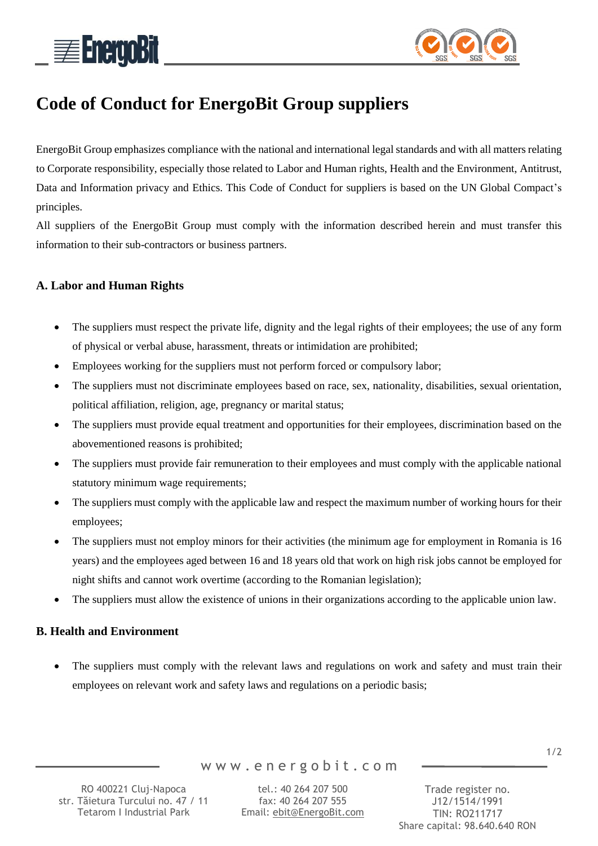



# **Code of Conduct for EnergoBit Group suppliers**

EnergoBit Group emphasizes compliance with the national and international legal standards and with all matters relating to Corporate responsibility, especially those related to Labor and Human rights, Health and the Environment, Antitrust, Data and Information privacy and Ethics. This Code of Conduct for suppliers is based on the UN Global Compact's principles.

All suppliers of the EnergoBit Group must comply with the information described herein and must transfer this information to their sub-contractors or business partners.

# **A. Labor and Human Rights**

- The suppliers must respect the private life, dignity and the legal rights of their employees; the use of any form of physical or verbal abuse, harassment, threats or intimidation are prohibited;
- Employees working for the suppliers must not perform forced or compulsory labor;
- The suppliers must not discriminate employees based on race, sex, nationality, disabilities, sexual orientation, political affiliation, religion, age, pregnancy or marital status;
- The suppliers must provide equal treatment and opportunities for their employees, discrimination based on the abovementioned reasons is prohibited;
- The suppliers must provide fair remuneration to their employees and must comply with the applicable national statutory minimum wage requirements;
- The suppliers must comply with the applicable law and respect the maximum number of working hours for their employees;
- The suppliers must not employ minors for their activities (the minimum age for employment in Romania is 16 years) and the employees aged between 16 and 18 years old that work on high risk jobs cannot be employed for night shifts and cannot work overtime (according to the Romanian legislation);
- The suppliers must allow the existence of unions in their organizations according to the applicable union law.

### **B. Health and Environment**

 The suppliers must comply with the relevant laws and regulations on work and safety and must train their employees on relevant work and safety laws and regulations on a periodic basis;

1/2

RO 400221 Cluj-Napoca str. Tăietura Turcului no. 47 / 11 Tetarom I Industrial Park

w w w . e n e r g o b i t . c o m

tel.: 40 264 207 500 fax: 40 264 207 555 Email: [ebit@EnergoBit.com](mailto:ebit@energobit.com)

Trade register no. J12/1514/1991 TIN: RO211717 Share capital: 98.640.640 RON